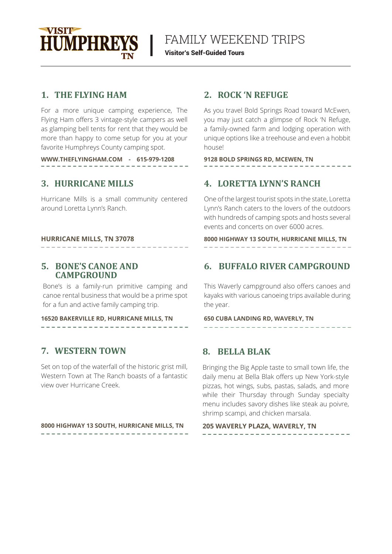

# FAMILY WEEKEND TRIPS

Visitor's Self-Guided Tours

### **1. THE FLYING HAM**

For a more unique camping experience, The Flying Ham offers 3 vintage-style campers as well as glamping bell tents for rent that they would be more than happy to come setup for you at your favorite Humphreys County camping spot.

**WWW.THEFLYINGHAM.COM - 615-979-1208 9128 BOLD SPRINGS RD, MCEWEN, TN**

## **3.**

Hurricane Mills is a small community centered around Loretta Lynn's Ranch.

# \_ \_ \_ \_ \_ \_ \_ \_ \_ \_ \_ \_ \_ \_

### **5. BONE'S CANOE AND CAMPGROUND**

Bone's is a family-run primitive camping and canoe rental business that would be a prime spot for a fun and active family camping trip.

### **16520 BAKERVILLE RD, HURRICANE MILLS, TN 650 CUBA LANDING RD, WAVERLY, TN**

### **7. WESTERN TOWN 8. BELLA BLAK**

Set on top of the waterfall of the historic grist mill, Western Town at The Ranch boasts of a fantastic view over Hurricane Creek.

### **8000 HIGHWAY 13 SOUTH, HURRICANE MILLS, TN 205 WAVERLY PLAZA, WAVERLY, TN**

### **2.**

As you travel Bold Springs Road toward McEwen, you may just catch a glimpse of Rock 'N Refuge, a family-owned farm and lodging operation with unique options like a treehouse and even a hobbit house!

## **HURRICANE MILLS** 4. LORETTA LYNN'S RANCH

One of the largest tourist spots in the state, Loretta Lynn's Ranch caters to the lovers of the outdoors with hundreds of camping spots and hosts several events and concerts on over 6000 acres.

**HURRICANE MILLS, TN 37078 8000 HIGHWAY 13 SOUTH, HURRICANE MILLS, TN**

# **6. BUFFALO RIVER CAMPGROUND**

This Waverly campground also offers canoes and kayaks with various canoeing trips available during the year.

Bringing the Big Apple taste to small town life, the daily menu at Bella Blak offers up New York-style pizzas, hot wings, subs, pastas, salads, and more while their Thursday through Sunday specialty menu includes savory dishes like steak au poivre, shrimp scampi, and chicken marsala.